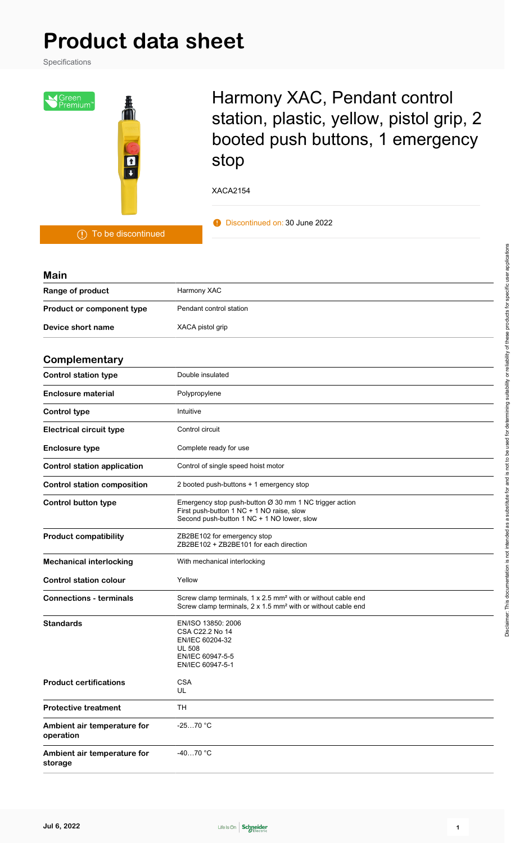# **Product data sheet**

Specifications



## Harmony XAC, Pendant control station, plastic, yellow, pistol grip, 2 booted push buttons, 1 emergency stop

XACA2154

**Discontinued on: 30 June 2022** 

| <b>Main</b>                              |                                                                                                                                                             |  |  |  |  |
|------------------------------------------|-------------------------------------------------------------------------------------------------------------------------------------------------------------|--|--|--|--|
| Range of product                         | Harmony XAC                                                                                                                                                 |  |  |  |  |
| Product or component type                | Pendant control station                                                                                                                                     |  |  |  |  |
| Device short name                        | XACA pistol grip                                                                                                                                            |  |  |  |  |
| Complementary                            |                                                                                                                                                             |  |  |  |  |
| <b>Control station type</b>              | Double insulated                                                                                                                                            |  |  |  |  |
| <b>Enclosure material</b>                | Polypropylene                                                                                                                                               |  |  |  |  |
| <b>Control type</b>                      | Intuitive                                                                                                                                                   |  |  |  |  |
| <b>Electrical circuit type</b>           | Control circuit                                                                                                                                             |  |  |  |  |
| <b>Enclosure type</b>                    | Complete ready for use                                                                                                                                      |  |  |  |  |
| <b>Control station application</b>       | Control of single speed hoist motor                                                                                                                         |  |  |  |  |
| <b>Control station composition</b>       | 2 booted push-buttons + 1 emergency stop                                                                                                                    |  |  |  |  |
| <b>Control button type</b>               | Emergency stop push-button $Ø$ 30 mm 1 NC trigger action<br>First push-button 1 NC + 1 NO raise, slow<br>Second push-button 1 NC + 1 NO lower, slow         |  |  |  |  |
| <b>Product compatibility</b>             | ZB2BE102 for emergency stop<br>ZB2BE102 + ZB2BE101 for each direction                                                                                       |  |  |  |  |
| <b>Mechanical interlocking</b>           | With mechanical interlocking                                                                                                                                |  |  |  |  |
| <b>Control station colour</b>            | Yellow                                                                                                                                                      |  |  |  |  |
| <b>Connections - terminals</b>           | Screw clamp terminals, $1 \times 2.5$ mm <sup>2</sup> with or without cable end<br>Screw clamp terminals, 2 x 1.5 mm <sup>2</sup> with or without cable end |  |  |  |  |
| <b>Standards</b>                         | EN/ISO 13850: 2006<br>CSA C22.2 No 14<br>EN/IEC 60204-32<br><b>UL 508</b><br>EN/IEC 60947-5-5<br>EN/IEC 60947-5-1                                           |  |  |  |  |
| <b>Product certifications</b>            | <b>CSA</b><br>UL.                                                                                                                                           |  |  |  |  |
| <b>Protective treatment</b>              | <b>TH</b>                                                                                                                                                   |  |  |  |  |
| Ambient air temperature for<br>operation | $-2570 °C$                                                                                                                                                  |  |  |  |  |
| Ambient air temperature for<br>storage   | $-4070 °C$                                                                                                                                                  |  |  |  |  |

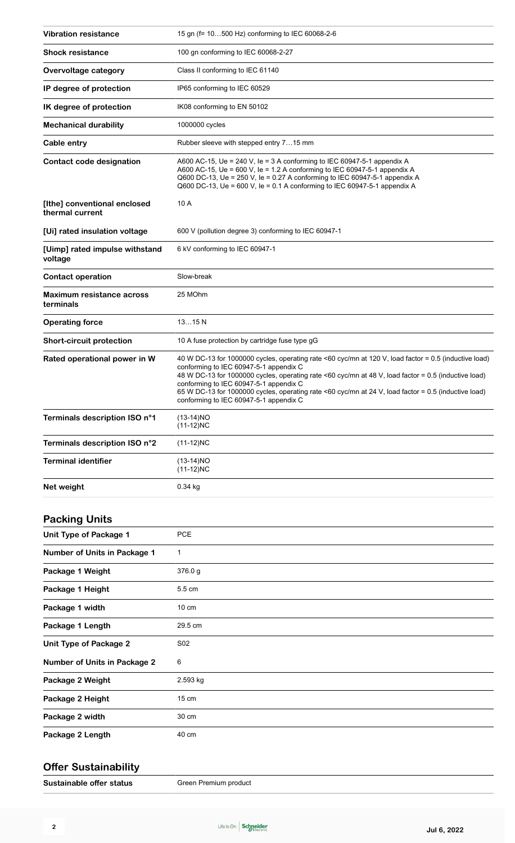| <b>Vibration resistance</b>                     | 15 gn (f= 10500 Hz) conforming to IEC 60068-2-6                                                                                                                                                                                                                                                                                                                                                                                                     |  |  |  |
|-------------------------------------------------|-----------------------------------------------------------------------------------------------------------------------------------------------------------------------------------------------------------------------------------------------------------------------------------------------------------------------------------------------------------------------------------------------------------------------------------------------------|--|--|--|
| <b>Shock resistance</b>                         | 100 gn conforming to IEC 60068-2-27                                                                                                                                                                                                                                                                                                                                                                                                                 |  |  |  |
| Overvoltage category                            | Class II conforming to IEC 61140                                                                                                                                                                                                                                                                                                                                                                                                                    |  |  |  |
| IP degree of protection                         | IP65 conforming to IEC 60529                                                                                                                                                                                                                                                                                                                                                                                                                        |  |  |  |
| IK degree of protection                         | IK08 conforming to EN 50102                                                                                                                                                                                                                                                                                                                                                                                                                         |  |  |  |
| <b>Mechanical durability</b>                    | 1000000 cycles                                                                                                                                                                                                                                                                                                                                                                                                                                      |  |  |  |
| Cable entry                                     | Rubber sleeve with stepped entry 715 mm                                                                                                                                                                                                                                                                                                                                                                                                             |  |  |  |
| Contact code designation                        | A600 AC-15, Ue = 240 V, le = 3 A conforming to IEC 60947-5-1 appendix A<br>A600 AC-15, Ue = 600 V, le = 1.2 A conforming to IEC 60947-5-1 appendix A<br>Q600 DC-13, Ue = 250 V, le = 0.27 A conforming to IEC 60947-5-1 appendix A<br>Q600 DC-13, Ue = 600 V, le = 0.1 A conforming to IEC 60947-5-1 appendix A                                                                                                                                     |  |  |  |
| [Ithe] conventional enclosed<br>thermal current | 10 A                                                                                                                                                                                                                                                                                                                                                                                                                                                |  |  |  |
| [Ui] rated insulation voltage                   | 600 V (pollution degree 3) conforming to IEC 60947-1                                                                                                                                                                                                                                                                                                                                                                                                |  |  |  |
| [Uimp] rated impulse withstand<br>voltage       | 6 kV conforming to IEC 60947-1                                                                                                                                                                                                                                                                                                                                                                                                                      |  |  |  |
| <b>Contact operation</b>                        | Slow-break                                                                                                                                                                                                                                                                                                                                                                                                                                          |  |  |  |
| Maximum resistance across<br>terminals          | 25 MOhm                                                                                                                                                                                                                                                                                                                                                                                                                                             |  |  |  |
| <b>Operating force</b>                          | 1315N                                                                                                                                                                                                                                                                                                                                                                                                                                               |  |  |  |
| <b>Short-circuit protection</b>                 | 10 A fuse protection by cartridge fuse type gG                                                                                                                                                                                                                                                                                                                                                                                                      |  |  |  |
| Rated operational power in W                    | 40 W DC-13 for 1000000 cycles, operating rate <60 cyc/mn at 120 V, load factor = 0.5 (inductive load)<br>conforming to IEC 60947-5-1 appendix C<br>48 W DC-13 for 1000000 cycles, operating rate <60 cyc/mn at 48 V, load factor = 0.5 (inductive load)<br>conforming to IEC 60947-5-1 appendix C<br>65 W DC-13 for 1000000 cycles, operating rate <60 cyc/mn at 24 V, load factor = 0.5 (inductive load)<br>conforming to IEC 60947-5-1 appendix C |  |  |  |
| Terminals description ISO n°1                   | $(13-14)NO$<br>$(11-12)NC$                                                                                                                                                                                                                                                                                                                                                                                                                          |  |  |  |
| Terminals description ISO n°2                   | $(11-12)NC$                                                                                                                                                                                                                                                                                                                                                                                                                                         |  |  |  |
| <b>Terminal identifier</b>                      | $(13-14)NO$<br>$(11-12)NC$                                                                                                                                                                                                                                                                                                                                                                                                                          |  |  |  |
| Net weight                                      | $0.34$ kg                                                                                                                                                                                                                                                                                                                                                                                                                                           |  |  |  |
|                                                 |                                                                                                                                                                                                                                                                                                                                                                                                                                                     |  |  |  |

## **Packing Units**

| Unit Type of Package 1              | <b>PCE</b>      |
|-------------------------------------|-----------------|
| Number of Units in Package 1        | 1               |
| Package 1 Weight                    | 376.0 g         |
| Package 1 Height                    | 5.5 cm          |
| Package 1 width                     | $10 \text{ cm}$ |
| Package 1 Length                    | 29.5 cm         |
| Unit Type of Package 2              | S02             |
| <b>Number of Units in Package 2</b> | 6               |
| Package 2 Weight                    | 2.593 kg        |
| Package 2 Height                    | $15 \text{ cm}$ |
| Package 2 width                     | 30 cm           |
| Package 2 Length                    | 40 cm           |
|                                     |                 |

#### **Offer Sustainability**

**Sustainable offer status** Green Premium product

**2**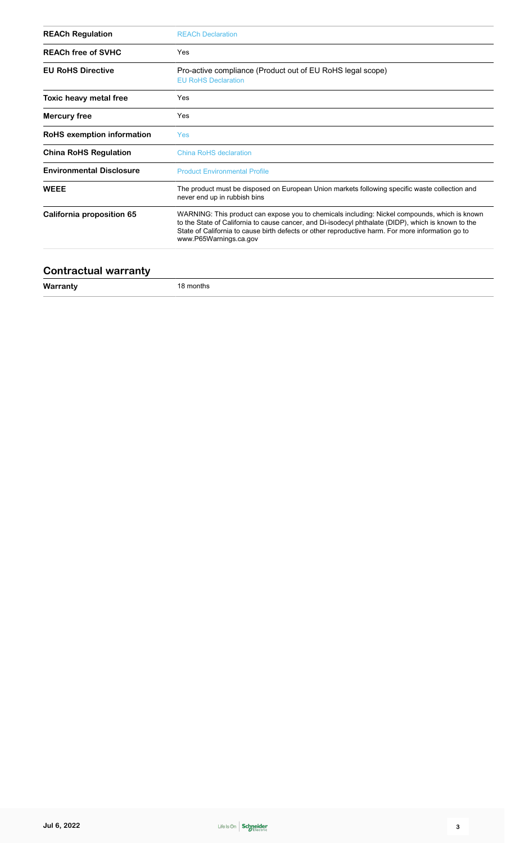| <b>REACh Regulation</b>         | <b>REACh Declaration</b>                                                                                                                                                                                                                                                                                                            |  |  |  |
|---------------------------------|-------------------------------------------------------------------------------------------------------------------------------------------------------------------------------------------------------------------------------------------------------------------------------------------------------------------------------------|--|--|--|
| <b>REACh free of SVHC</b>       | Yes                                                                                                                                                                                                                                                                                                                                 |  |  |  |
| <b>EU RoHS Directive</b>        | Pro-active compliance (Product out of EU RoHS legal scope)<br><b>EU RoHS Declaration</b>                                                                                                                                                                                                                                            |  |  |  |
| Toxic heavy metal free          | Yes                                                                                                                                                                                                                                                                                                                                 |  |  |  |
| <b>Mercury free</b>             | Yes                                                                                                                                                                                                                                                                                                                                 |  |  |  |
| RoHS exemption information      | <b>Yes</b>                                                                                                                                                                                                                                                                                                                          |  |  |  |
| <b>China RoHS Regulation</b>    | China RoHS declaration                                                                                                                                                                                                                                                                                                              |  |  |  |
| <b>Environmental Disclosure</b> | <b>Product Environmental Profile</b>                                                                                                                                                                                                                                                                                                |  |  |  |
| <b>WEEE</b>                     | The product must be disposed on European Union markets following specific waste collection and<br>never end up in rubbish bins                                                                                                                                                                                                      |  |  |  |
| California proposition 65       | WARNING: This product can expose you to chemicals including: Nickel compounds, which is known<br>to the State of California to cause cancer, and Di-isodecyl phthalate (DIDP), which is known to the<br>State of California to cause birth defects or other reproductive harm. For more information go to<br>www.P65Warnings.ca.gov |  |  |  |

#### **Contractual warranty**

**Warranty** 18 months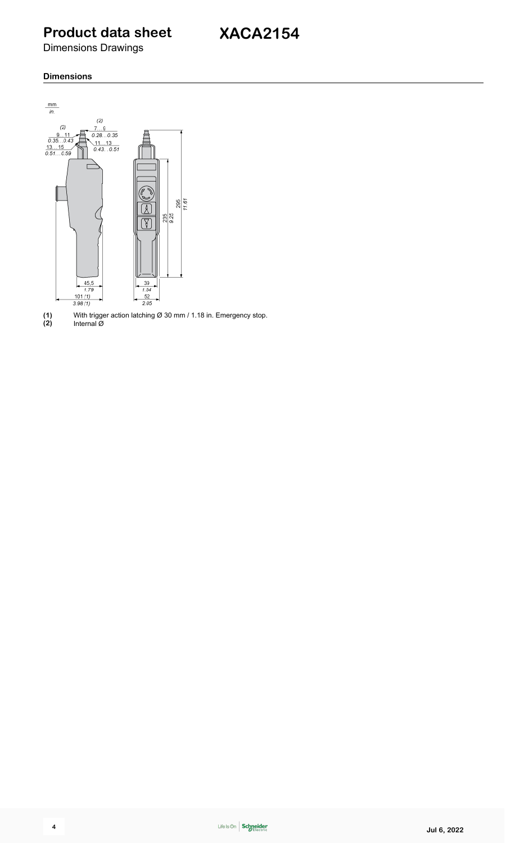### **Product data sheet**

Dimensions Drawings

#### **Dimensions**



**(1)** With trigger action latching Ø 30 mm / 1.18 in. Emergency stop. **(2)** Internal Ø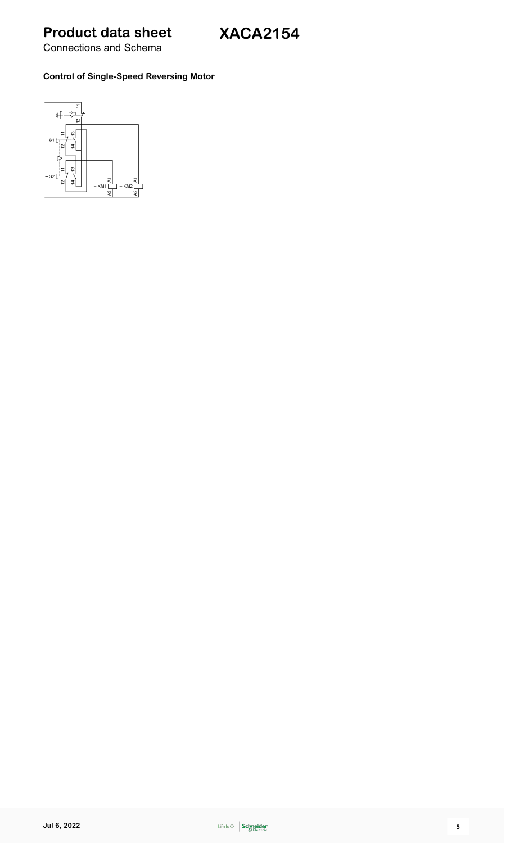#### **Control of Single-Speed Reversing Motor**